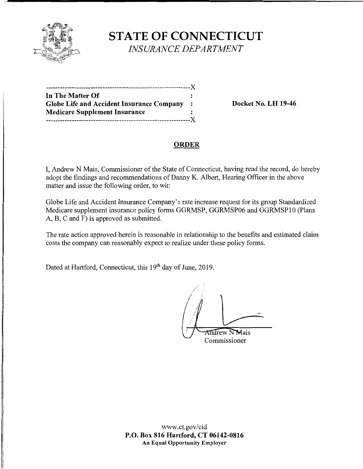

**STATE OF CONNECTICUT**  *INSURANCE DEPARTMENT* 

| In The Matter Of                                 |  |
|--------------------------------------------------|--|
| <b>Globe Life and Accident Insurance Company</b> |  |
| <b>Medicare Supplement Insurance</b>             |  |
| ---------------------X                           |  |
|                                                  |  |

**Globe Life and Accident Insurance Company** : **Docket No. LH 19-46** 

## **ORDER**

I, Andrew N Mais, Commissioner of the State of Connecticut, having read the record, do hereby adopt the findings and recommendations of Danny K. Albert, Hearing Officer in the above matter and issue the following order, to wit:

Globe Life and Accident Insurance Company's rate increase request for its group Standardized Medicare supplement insurance policy forms GGRMSP, GGRMSP06 and GGRMSPIO (Plans A, B, C and F) is approved as submitted.

The rate action approved herein is reasonable in relationship to the benefits and estimated claim costs the company can reasonably expect to realize under these policy forms.

Dated at Hartford, Connecticut, this 19<sup>th</sup> day of June, 2019.

*/*  / Indrew NMais

Commissioner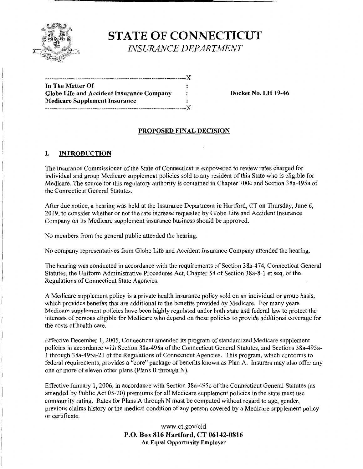

# **ST ATE OF CONNECTICUT**  *INSURANCE DEPARTMENT*

| In The Matter Of                                 |   |
|--------------------------------------------------|---|
| <b>Globe Life and Accident Insurance Company</b> | : |
| <b>Medicare Supplement Insurance</b>             |   |
| -------------------------X                       |   |

**Docket No. LH 19-46** 

## **PROPOSED FINAL DECISION**

#### I. **INTRODUCTION**

The Insurance Commissioner of the State of Connecticut is empowered to review rates charged for individual and group Medicare supplement policies sold to any resident of this State who is eligible for Medicare. The source for this regulatory authority is contained in Chapter 700c and Section 38a-495a of the Connecticut General Statutes.

After due notice, a hearing was held at the Insurance Department in Hartford, CT on Thursday, June 6, 2019, to consider whether or not the rate increase requested by Globe Life and Accident Insurance Company on its Medicare supplement insurance business should be approved.

No members from the general public attended the hearing.

No company representatives from Globe Life and Accident Insurance Company attended the hearing.

The hearing was conducted in accordance with the requirements of Section 38a-474, Connecticut General Statutes, the Uniform Administrative Procedures Act, Chapter 54 of Section 3 Sa-8-1 et seq. of the Regulations of Connecticut State Agencies.

A Medicare supplement policy is a private health insurance policy sold on an individual or group basis, which provides benefits that are additional to the benefits provided by Medicare. For many years Medicare supplement policies have been highly regulated under both state and federal law to protect the interests of persons eligible for Medicare who depend on these policies to provide additional coverage for the costs of health care.

Effective December 1, 2005, Connecticut amended its program of standardized Medicare supplement policies in accordance with Section 38a-496a of the Connecticut General Statutes, and Sections 38a-495a-1 through 38a-495a-21 of the Regulations of Connecticut Agencies. This program, which conforms to federal requirements, provides a "core" package of benefits known as Plan A. Insurers may also offer any one or more of eleven other plans (Plans B through N).

Effective January 1, 2006, in accordance with Section 38a-495c of the Connecticut General Statutes (as amended by Public Act 05-20) premiums for all Medicare supplement policies in the state must use community rating. Rates for Plans A through N must be computed without regard to age, gender, previous claims history or the medical condition of any person covered by a Medicare supplement policy or certificate.

> www.ct.gov/cid **P.O. Box 816 Hartford, CT 06142-0816 An Equal Opportunity Employer**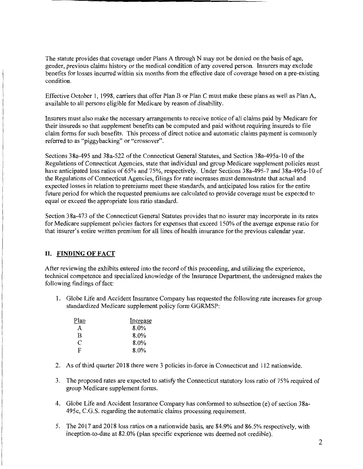The statute provides that coverage under Plans A through N may not be denied on the basis of age, gender, previous claims history or the medical condition of any covered person. Insurers may exclude benefits for losses incurred within six months from the effective date of coverage based on a pre-existing condition.

Effective October 1, 1998, carriers that offer Plan B or Plan C must make these plans as well as Plan A, available to all persons eligible for Medicare by reason of disability.

Insurers must also make the necessary arrangements to receive notice of all claims paid by Medicare for their insureds so that supplement benefits can be computed and paid without requiring insureds to file claim forms for such benefits. This process of direct notice and automatic claims payment is commonly referred to as "piggybacking" or "crossover".

Sections 38a-495 and 38a-522 of the Connecticut General Statutes, and Section 38a-495a-10 of the Regulations of Connecticut Agencies, state that individual and group Medicare supplement policies must have anticipated loss ratios of 65% and 75%, respectively. Under Sections 38a-495-7 and 38a-495a-10 of the Regulations of Connecticut Agencies, filings for rate increases must demonstrate that actual and expected losses in relation to premiums meet these standards, and anticipated loss ratios for the entire future period for which the requested premiums are calculated to provide coverage must be expected to equal or exceed the appropriate loss ratio standard.

Section 3 8a-4 73 of the Connecticut General Statutes provides that no insurer may incorporate in its rates for Medicare supplement policies factors for expenses that exceed 150% of the average expense ratio for that insurer's entire written premium for all lines of health insurance for the previous calendar year.

#### **II. FINDING OF FACT**

After reviewing the exhibits entered into the record of this proceeding, and utilizing the experience, technical competence and specialized knowledge of the Insurance Department, the undersigned makes the following findings of fact:

1. Globe Life and Accident Insurance Company has requested the following rate increases for group standardized Medicare supplement policy form GGRMSP:

| Plan | Increase |
|------|----------|
| A    | 8.0%     |
| B    | 8.0%     |
| C    | 8.0%     |
| F    | 8.0%     |

- 2. As of third quarter 2018 there were 3 policies in-force **in** Connecticut and 112 nationwide.
- 3. The proposed rates are expected to satisfy the Connecticut statutory loss ratio of 75% required of group Medicare supplement forms.
- 4. Globe Life and Accident Insurance Company has conformed to subsection (e) of section 38a-495c, C.G.S. regarding the automatic claims processing requirement.
- 5. The 2017 and 2018 loss ratios on a nationwide basis, are 84.9% and 86.5% respectively, with inception-to-date at 82.0% (plan specific experience was deemed not credible).